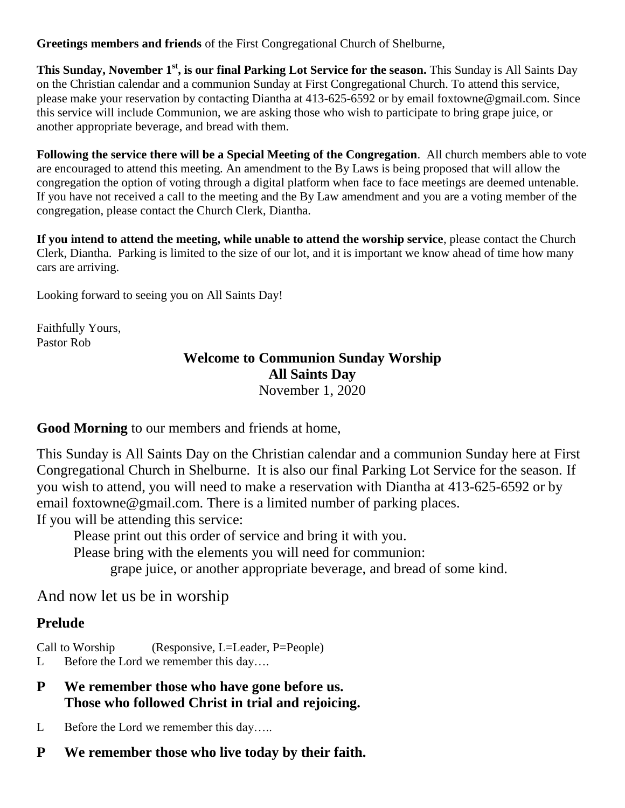**Greetings members and friends** of the First Congregational Church of Shelburne,

**This Sunday, November 1st , is our final Parking Lot Service for the season.** This Sunday is All Saints Day on the Christian calendar and a communion Sunday at First Congregational Church. To attend this service, please make your reservation by contacting Diantha at 413-625-6592 or by email foxtowne@gmail.com. Since this service will include Communion, we are asking those who wish to participate to bring grape juice, or another appropriate beverage, and bread with them.

**Following the service there will be a Special Meeting of the Congregation**. All church members able to vote are encouraged to attend this meeting. An amendment to the By Laws is being proposed that will allow the congregation the option of voting through a digital platform when face to face meetings are deemed untenable. If you have not received a call to the meeting and the By Law amendment and you are a voting member of the congregation, please contact the Church Clerk, Diantha.

**If you intend to attend the meeting, while unable to attend the worship service**, please contact the Church Clerk, Diantha. Parking is limited to the size of our lot, and it is important we know ahead of time how many cars are arriving.

Looking forward to seeing you on All Saints Day!

Faithfully Yours, Pastor Rob

# **Welcome to Communion Sunday Worship All Saints Day**

November 1, 2020

**Good Morning** to our members and friends at home,

This Sunday is All Saints Day on the Christian calendar and a communion Sunday here at First Congregational Church in Shelburne. It is also our final Parking Lot Service for the season. If you wish to attend, you will need to make a reservation with Diantha at 413-625-6592 or by email foxtowne@gmail.com. There is a limited number of parking places.

If you will be attending this service:

Please print out this order of service and bring it with you.

Please bring with the elements you will need for communion:

grape juice, or another appropriate beverage, and bread of some kind.

And now let us be in worship

#### **Prelude**

Call to Worship (Responsive, L=Leader, P=People)

- L Before the Lord we remember this day….
- **P We remember those who have gone before us. Those who followed Christ in trial and rejoicing.**
- L Before the Lord we remember this day…..
- **P We remember those who live today by their faith.**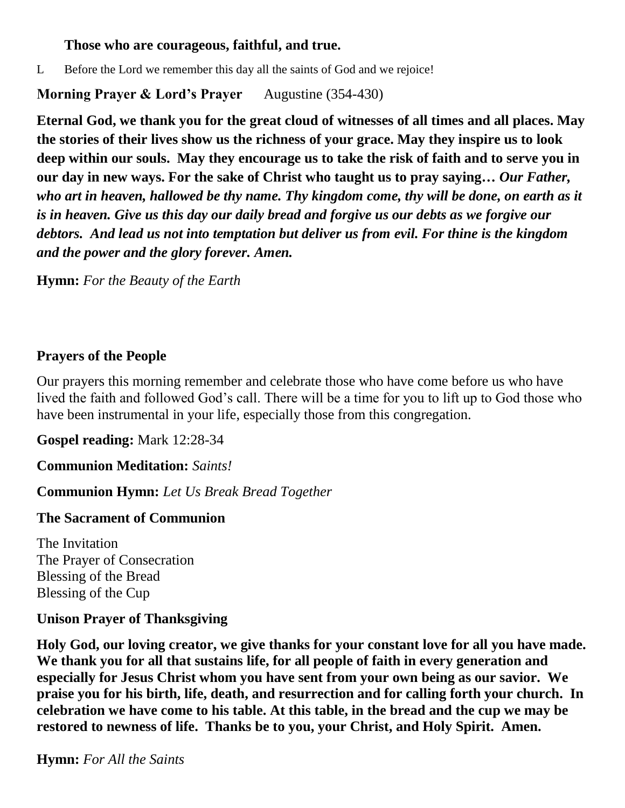#### **Those who are courageous, faithful, and true.**

L Before the Lord we remember this day all the saints of God and we rejoice!

#### **Morning Prayer & Lord's Prayer** Augustine (354-430)

**Eternal God, we thank you for the great cloud of witnesses of all times and all places. May the stories of their lives show us the richness of your grace. May they inspire us to look deep within our souls. May they encourage us to take the risk of faith and to serve you in our day in new ways. For the sake of Christ who taught us to pray saying…** *Our Father, who art in heaven, hallowed be thy name. Thy kingdom come, thy will be done, on earth as it is in heaven. Give us this day our daily bread and forgive us our debts as we forgive our debtors. And lead us not into temptation but deliver us from evil. For thine is the kingdom and the power and the glory forever. Amen.*

**Hymn:** *For the Beauty of the Earth*

### **Prayers of the People**

Our prayers this morning remember and celebrate those who have come before us who have lived the faith and followed God's call. There will be a time for you to lift up to God those who have been instrumental in your life, especially those from this congregation.

**Gospel reading:** Mark 12:28-34

**Communion Meditation:** *Saints!*

**Communion Hymn:** *Let Us Break Bread Together*

#### **The Sacrament of Communion**

The Invitation The Prayer of Consecration Blessing of the Bread Blessing of the Cup

#### **Unison Prayer of Thanksgiving**

**Holy God, our loving creator, we give thanks for your constant love for all you have made. We thank you for all that sustains life, for all people of faith in every generation and especially for Jesus Christ whom you have sent from your own being as our savior. We praise you for his birth, life, death, and resurrection and for calling forth your church. In celebration we have come to his table. At this table, in the bread and the cup we may be restored to newness of life. Thanks be to you, your Christ, and Holy Spirit. Amen.**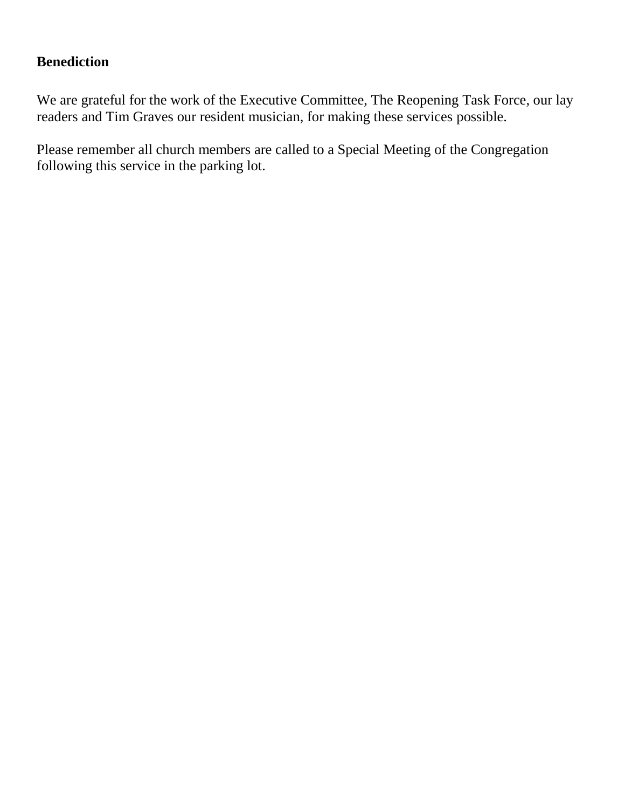#### **Benediction**

We are grateful for the work of the Executive Committee, The Reopening Task Force, our lay readers and Tim Graves our resident musician, for making these services possible.

Please remember all church members are called to a Special Meeting of the Congregation following this service in the parking lot.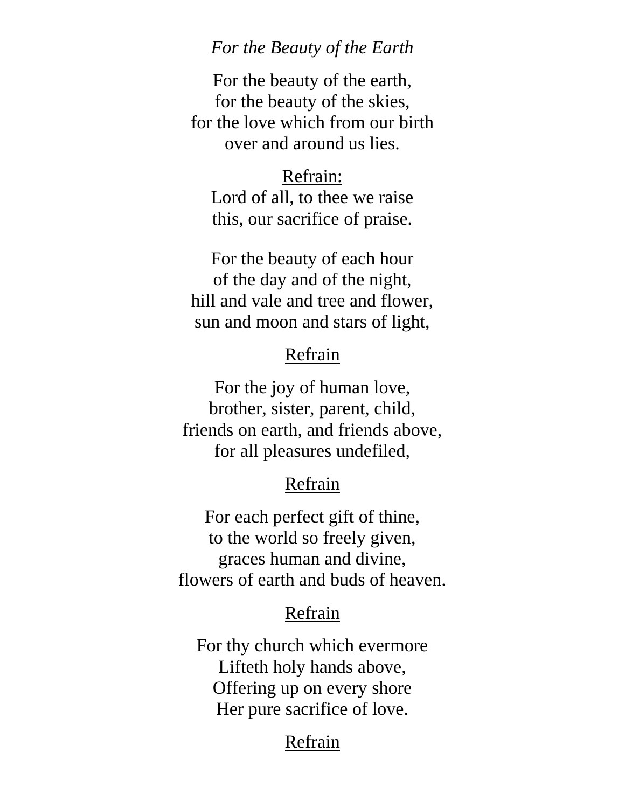# *For the Beauty of the Earth*

For the beauty of the earth, for the beauty of the skies, for the love which from our birth over and around us lies.

# Refrain:

Lord of all, to thee we raise this, our sacrifice of praise.

For the beauty of each hour of the day and of the night, hill and vale and tree and flower, sun and moon and stars of light,

# Refrain

For the joy of human love, brother, sister, parent, child, friends on earth, and friends above, for all pleasures undefiled,

# Refrain

For each perfect gift of thine, to the world so freely given, graces human and divine, flowers of earth and buds of heaven.

### Refrain

For thy church which evermore Lifteth holy hands above, Offering up on every shore Her pure sacrifice of love.

# Refrain